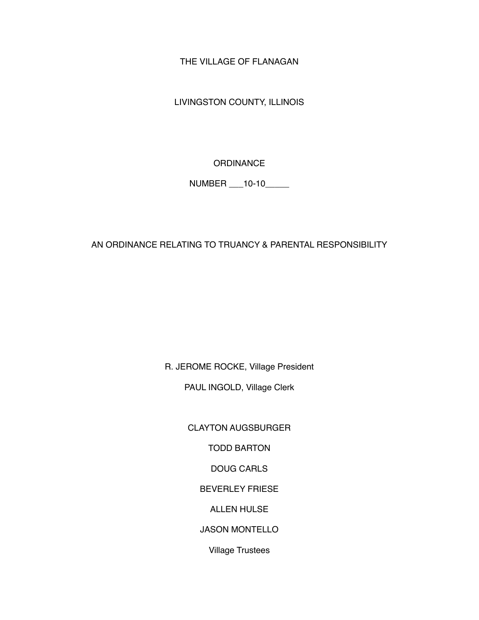THE VILLAGE OF FLANAGAN

LIVINGSTON COUNTY, ILLINOIS

**ORDINANCE** 

NUMBER \_\_\_10-10\_\_\_\_\_

AN ORDINANCE RELATING TO TRUANCY & PARENTAL RESPONSIBILITY

R. JEROME ROCKE, Village President

PAUL INGOLD, Village Clerk

CLAYTON AUGSBURGER

TODD BARTON

DOUG CARLS

BEVERLEY FRIESE

ALLEN HULSE

JASON MONTELLO

Village Trustees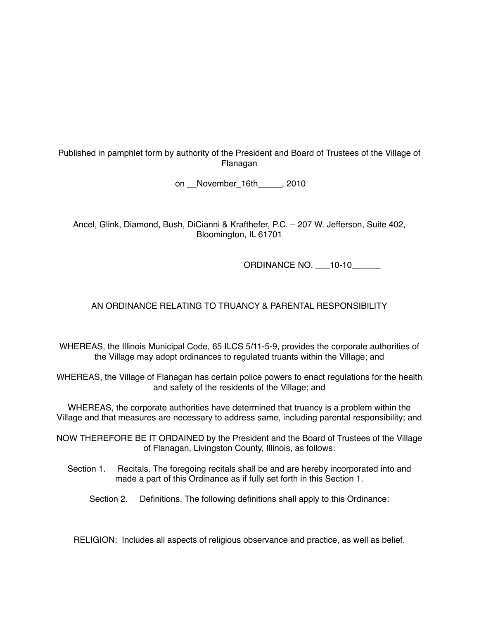Published in pamphlet form by authority of the President and Board of Trustees of the Village of Flanagan

on \_\_November\_16th\_\_\_\_\_, 2010

Ancel, Glink, Diamond, Bush, DiCianni & Krafthefer, P.C. – 207 W. Jefferson, Suite 402, Bloomington, IL 61701

ORDINANCE NO. \_\_\_10-10\_\_\_\_\_\_

## AN ORDINANCE RELATING TO TRUANCY & PARENTAL RESPONSIBILITY

WHEREAS, the Illinois Municipal Code, 65 ILCS 5/11-5-9, provides the corporate authorities of the Village may adopt ordinances to regulated truants within the Village; and

WHEREAS, the Village of Flanagan has certain police powers to enact regulations for the health and safety of the residents of the Village; and

WHEREAS, the corporate authorities have determined that truancy is a problem within the Village and that measures are necessary to address same, including parental responsibility; and

NOW THEREFORE BE IT ORDAINED by the President and the Board of Trustees of the Village of Flanagan, Livingston County, Illinois, as follows:

Section 1. Recitals. The foregoing recitals shall be and are hereby incorporated into and made a part of this Ordinance as if fully set forth in this Section 1.

Section 2. Definitions. The following definitions shall apply to this Ordinance:

RELIGION: Includes all aspects of religious observance and practice, as well as belief.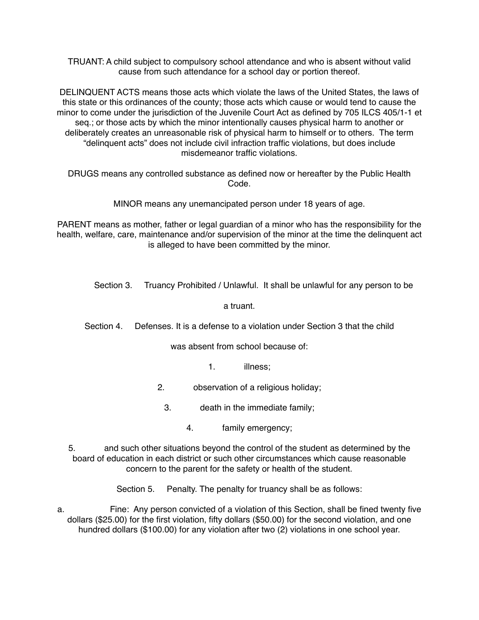TRUANT: A child subject to compulsory school attendance and who is absent without valid cause from such attendance for a school day or portion thereof.

DELINQUENT ACTS means those acts which violate the laws of the United States, the laws of this state or this ordinances of the county; those acts which cause or would tend to cause the minor to come under the jurisdiction of the Juvenile Court Act as defined by 705 ILCS 405/1-1 et seq.; or those acts by which the minor intentionally causes physical harm to another or deliberately creates an unreasonable risk of physical harm to himself or to others. The term "delinquent acts" does not include civil infraction traffic violations, but does include misdemeanor traffic violations.

DRUGS means any controlled substance as defined now or hereafter by the Public Health Code.

MINOR means any unemancipated person under 18 years of age.

PARENT means as mother, father or legal guardian of a minor who has the responsibility for the health, welfare, care, maintenance and/or supervision of the minor at the time the delinquent act is alleged to have been committed by the minor.

Section 3. Truancy Prohibited / Unlawful. It shall be unlawful for any person to be

a truant.

Section 4. Defenses. It is a defense to a violation under Section 3 that the child

was absent from school because of:

1. illness;

- 2. observation of a religious holiday;
	- 3. death in the immediate family;
		- 4. family emergency;

5. and such other situations beyond the control of the student as determined by the board of education in each district or such other circumstances which cause reasonable concern to the parent for the safety or health of the student.

Section 5. Penalty. The penalty for truancy shall be as follows:

a. Fine: Any person convicted of a violation of this Section, shall be fined twenty five dollars (\$25.00) for the first violation, fifty dollars (\$50.00) for the second violation, and one hundred dollars (\$100.00) for any violation after two (2) violations in one school year.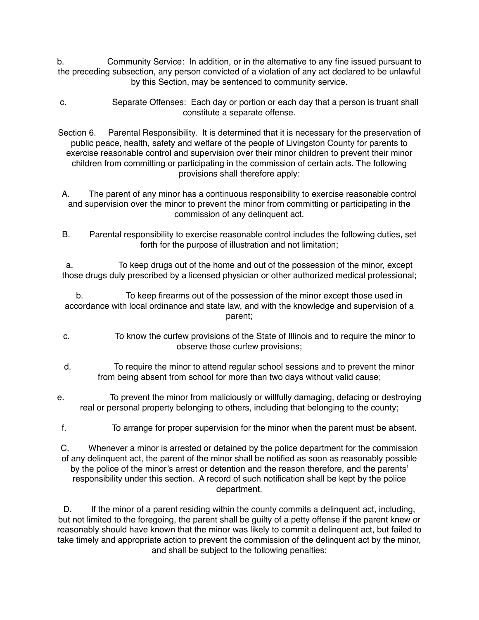b. Community Service: In addition, or in the alternative to any fine issued pursuant to the preceding subsection, any person convicted of a violation of any act declared to be unlawful by this Section, may be sentenced to community service.

- c. Separate Offenses: Each day or portion or each day that a person is truant shall constitute a separate offense.
- Section 6. Parental Responsibility. It is determined that it is necessary for the preservation of public peace, health, safety and welfare of the people of Livingston County for parents to exercise reasonable control and supervision over their minor children to prevent their minor children from committing or participating in the commission of certain acts. The following provisions shall therefore apply:
- A. The parent of any minor has a continuous responsibility to exercise reasonable control and supervision over the minor to prevent the minor from committing or participating in the commission of any delinquent act.
- B. Parental responsibility to exercise reasonable control includes the following duties, set forth for the purpose of illustration and not limitation;

a. To keep drugs out of the home and out of the possession of the minor, except those drugs duly prescribed by a licensed physician or other authorized medical professional;

b. To keep firearms out of the possession of the minor except those used in accordance with local ordinance and state law, and with the knowledge and supervision of a parent;

- c. To know the curfew provisions of the State of Illinois and to require the minor to observe those curfew provisions;
- d. To require the minor to attend regular school sessions and to prevent the minor from being absent from school for more than two days without valid cause;
- e. To prevent the minor from maliciously or willfully damaging, defacing or destroying real or personal property belonging to others, including that belonging to the county;
- f. To arrange for proper supervision for the minor when the parent must be absent.

C. Whenever a minor is arrested or detained by the police department for the commission of any delinquent act, the parent of the minor shall be notified as soon as reasonably possible by the police of the minor's arrest or detention and the reason therefore, and the parents' responsibility under this section. A record of such notification shall be kept by the police department.

D. If the minor of a parent residing within the county commits a delinguent act, including, but not limited to the foregoing, the parent shall be guilty of a petty offense if the parent knew or reasonably should have known that the minor was likely to commit a delinquent act, but failed to take timely and appropriate action to prevent the commission of the delinquent act by the minor, and shall be subject to the following penalties: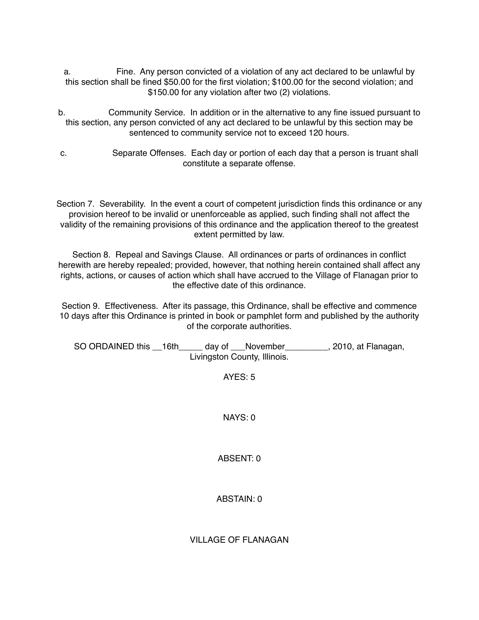- a. Fine. Any person convicted of a violation of any act declared to be unlawful by this section shall be fined \$50.00 for the first violation; \$100.00 for the second violation; and \$150.00 for any violation after two (2) violations.
- b. Community Service. In addition or in the alternative to any fine issued pursuant to this section, any person convicted of any act declared to be unlawful by this section may be sentenced to community service not to exceed 120 hours.
- c. Separate Offenses. Each day or portion of each day that a person is truant shall constitute a separate offense.

Section 7. Severability. In the event a court of competent jurisdiction finds this ordinance or any provision hereof to be invalid or unenforceable as applied, such finding shall not affect the validity of the remaining provisions of this ordinance and the application thereof to the greatest extent permitted by law.

Section 8. Repeal and Savings Clause. All ordinances or parts of ordinances in conflict herewith are hereby repealed; provided, however, that nothing herein contained shall affect any rights, actions, or causes of action which shall have accrued to the Village of Flanagan prior to the effective date of this ordinance.

Section 9. Effectiveness. After its passage, this Ordinance, shall be effective and commence 10 days after this Ordinance is printed in book or pamphlet form and published by the authority of the corporate authorities.

SO ORDAINED this  $16th$  day of Wovember , 2010, at Flanagan, Livingston County, Illinois.

AYES: 5

NAYS: 0

ABSENT: 0

ABSTAIN: 0

VILLAGE OF FLANAGAN